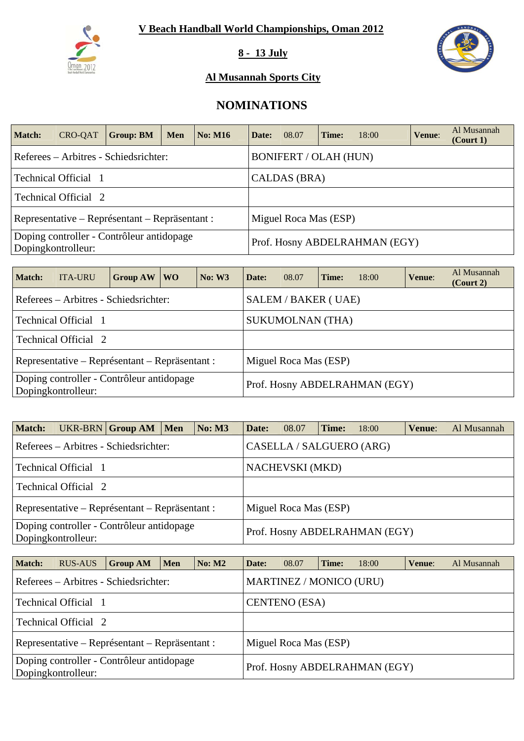

**8 - 13 July** 



### **Al Musannah Sports City**

# **NOMINATIONS**

| <b>Match:</b> | <b>CRO-QAT</b>       | <b>Group: BM</b>                               | <b>Men</b> | <b>No: M16</b> | Date:                 | 08.07                        | Time: | 18:00                         | <b>Venue:</b> | Al Musannah<br>(Court 1) |  |  |
|---------------|----------------------|------------------------------------------------|------------|----------------|-----------------------|------------------------------|-------|-------------------------------|---------------|--------------------------|--|--|
|               |                      | Referees – Arbitres - Schiedsrichter:          |            |                |                       | <b>BONIFERT / OLAH (HUN)</b> |       |                               |               |                          |  |  |
|               | Technical Official 1 |                                                |            |                |                       | CALDAS (BRA)                 |       |                               |               |                          |  |  |
|               | Technical Official 2 |                                                |            |                |                       |                              |       |                               |               |                          |  |  |
|               |                      | Representative – Représentant – Repräsentant : |            |                | Miguel Roca Mas (ESP) |                              |       |                               |               |                          |  |  |
|               | Dopingkontrolleur:   | Doping controller - Contrôleur antidopage      |            |                |                       |                              |       | Prof. Hosny ABDELRAHMAN (EGY) |               |                          |  |  |

| <b>Match:</b> | <b>ITA-URU</b>                                                  | Group $AW$ | <b>WO</b> | No: W3 | Date:                 | 08.07                   | Time: | 18:00                         | Venue: | Al Musannah<br>$($ Court 2 $)$ |  |  |
|---------------|-----------------------------------------------------------------|------------|-----------|--------|-----------------------|-------------------------|-------|-------------------------------|--------|--------------------------------|--|--|
|               | Referees – Arbitres - Schiedsrichter:                           |            |           |        |                       | SALEM / BAKER (UAE)     |       |                               |        |                                |  |  |
|               | Technical Official 1                                            |            |           |        |                       | <b>SUKUMOLNAN (THA)</b> |       |                               |        |                                |  |  |
|               | Technical Official 2                                            |            |           |        |                       |                         |       |                               |        |                                |  |  |
|               | Representative – Représentant – Repräsentant :                  |            |           |        | Miguel Roca Mas (ESP) |                         |       |                               |        |                                |  |  |
|               | Doping controller - Contrôleur antidopage<br>Dopingkontrolleur: |            |           |        |                       |                         |       | Prof. Hosny ABDELRAHMAN (EGY) |        |                                |  |  |

| <b>Match:</b> |                             | UKR-BRN Group AM Men                           | <b>No: M3</b> | Date: | 08.07                    | Time: | 18:00                         | Venue: | Al Musannah |
|---------------|-----------------------------|------------------------------------------------|---------------|-------|--------------------------|-------|-------------------------------|--------|-------------|
|               |                             | Referees – Arbitres - Schiedsrichter:          |               |       | CASELLA / SALGUERO (ARG) |       |                               |        |             |
|               | Technical Official 1        |                                                |               |       | <b>NACHEVSKI</b> (MKD)   |       |                               |        |             |
|               | <b>Technical Official</b> 2 |                                                |               |       |                          |       |                               |        |             |
|               |                             | Representative – Représentant – Repräsentant : |               |       | Miguel Roca Mas (ESP)    |       |                               |        |             |
|               | Dopingkontrolleur:          | Doping controller - Contrôleur antidopage      |               |       |                          |       | Prof. Hosny ABDELRAHMAN (EGY) |        |             |

| <b>Match:</b>        | <b>RUS-AUS</b>                                                  | <b>Group AM</b> | Men | $\vert$ No: M2 | Date:                         | 08.07                 | Time: | 18:00 | Venue: | Al Musannah |  |  |  |  |
|----------------------|-----------------------------------------------------------------|-----------------|-----|----------------|-------------------------------|-----------------------|-------|-------|--------|-------------|--|--|--|--|
|                      | Referees – Arbitres - Schiedsrichter:                           |                 |     |                | MARTINEZ / MONICO (URU)       |                       |       |       |        |             |  |  |  |  |
| Technical Official 1 |                                                                 |                 |     |                |                               | <b>CENTENO</b> (ESA)  |       |       |        |             |  |  |  |  |
|                      | Technical Official 2                                            |                 |     |                |                               |                       |       |       |        |             |  |  |  |  |
|                      | Representative – Représentant – Repräsentant :                  |                 |     |                |                               | Miguel Roca Mas (ESP) |       |       |        |             |  |  |  |  |
|                      | Doping controller - Contrôleur antidopage<br>Dopingkontrolleur: |                 |     |                | Prof. Hosny ABDELRAHMAN (EGY) |                       |       |       |        |             |  |  |  |  |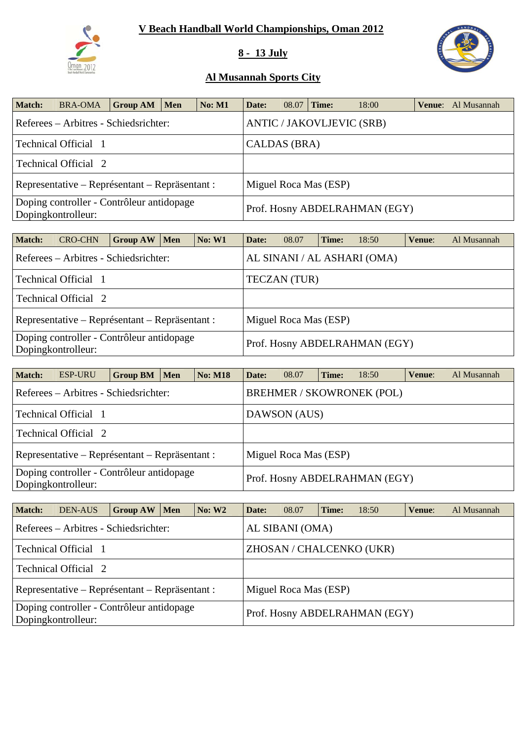

## **8 - 13 July**



| Match: | <b>BRA-OMA</b>                                                  | <b>Group AM</b> | Men | <b>No: M1</b> | Date:        | 08.07 | Time:                 | 18:00                            | <b>Venue:</b> Al Musannah |
|--------|-----------------------------------------------------------------|-----------------|-----|---------------|--------------|-------|-----------------------|----------------------------------|---------------------------|
|        | Referees – Arbitres - Schiedsrichter:                           |                 |     |               |              |       |                       | <b>ANTIC / JAKOVLJEVIC (SRB)</b> |                           |
|        | Technical Official 1                                            |                 |     |               | CALDAS (BRA) |       |                       |                                  |                           |
|        | <b>Technical Official 2</b>                                     |                 |     |               |              |       |                       |                                  |                           |
|        | Representative – Représentant – Repräsentant :                  |                 |     |               |              |       | Miguel Roca Mas (ESP) |                                  |                           |
|        | Doping controller - Contrôleur antidopage<br>Dopingkontrolleur: |                 |     |               |              |       |                       | Prof. Hosny ABDELRAHMAN (EGY)    |                           |

| Match: | <b>CRO-CHN</b>                                                  | Group AW | Men | <b>No: W1</b> | Date: | 08.07                 | Time: | 18:50                         | Venue: | Al Musannah |
|--------|-----------------------------------------------------------------|----------|-----|---------------|-------|-----------------------|-------|-------------------------------|--------|-------------|
|        | Referees – Arbitres - Schiedsrichter:                           |          |     |               |       |                       |       | AL SINANI / AL ASHARI (OMA)   |        |             |
|        | Technical Official 1                                            |          |     |               |       | <b>TECZAN</b> (TUR)   |       |                               |        |             |
|        | Technical Official 2                                            |          |     |               |       |                       |       |                               |        |             |
|        | Representative – Représentant – Repräsentant :                  |          |     |               |       | Miguel Roca Mas (ESP) |       |                               |        |             |
|        | Doping controller - Contrôleur antidopage<br>Dopingkontrolleur: |          |     |               |       |                       |       | Prof. Hosny ABDELRAHMAN (EGY) |        |             |

| Match: | <b>ESP-URU</b>                                                  | <b>Group BM</b> | Men | <b>No: M18</b>                   | Date: | 08.07                 | Time: | 18:50                         | Venue: | Al Musannah |  |  |
|--------|-----------------------------------------------------------------|-----------------|-----|----------------------------------|-------|-----------------------|-------|-------------------------------|--------|-------------|--|--|
|        | Referees – Arbitres - Schiedsrichter:                           |                 |     | <b>BREHMER / SKOWRONEK (POL)</b> |       |                       |       |                               |        |             |  |  |
|        | Technical Official 1                                            |                 |     |                                  |       | DAWSON (AUS)          |       |                               |        |             |  |  |
|        | Technical Official 2                                            |                 |     |                                  |       |                       |       |                               |        |             |  |  |
|        | Representative – Représentant – Repräsentant :                  |                 |     |                                  |       | Miguel Roca Mas (ESP) |       |                               |        |             |  |  |
|        | Doping controller - Contrôleur antidopage<br>Dopingkontrolleur: |                 |     |                                  |       |                       |       | Prof. Hosny ABDELRAHMAN (EGY) |        |             |  |  |

| <b>Match:</b> | <b>DEN-AUS</b>                                                  | GroupAW | Men | <b>No: W2</b> | Date: | 08.07                 | Time: | 18:50                         | Venue: | Al Musannah |
|---------------|-----------------------------------------------------------------|---------|-----|---------------|-------|-----------------------|-------|-------------------------------|--------|-------------|
|               | Referees – Arbitres - Schiedsrichter:                           |         |     |               |       | AL SIBANI (OMA)       |       |                               |        |             |
|               | Technical Official 1                                            |         |     |               |       |                       |       | ZHOSAN / CHALCENKO (UKR)      |        |             |
|               | Technical Official 2                                            |         |     |               |       |                       |       |                               |        |             |
|               | Representative – Représentant – Repräsentant :                  |         |     |               |       | Miguel Roca Mas (ESP) |       |                               |        |             |
|               | Doping controller - Contrôleur antidopage<br>Dopingkontrolleur: |         |     |               |       |                       |       | Prof. Hosny ABDELRAHMAN (EGY) |        |             |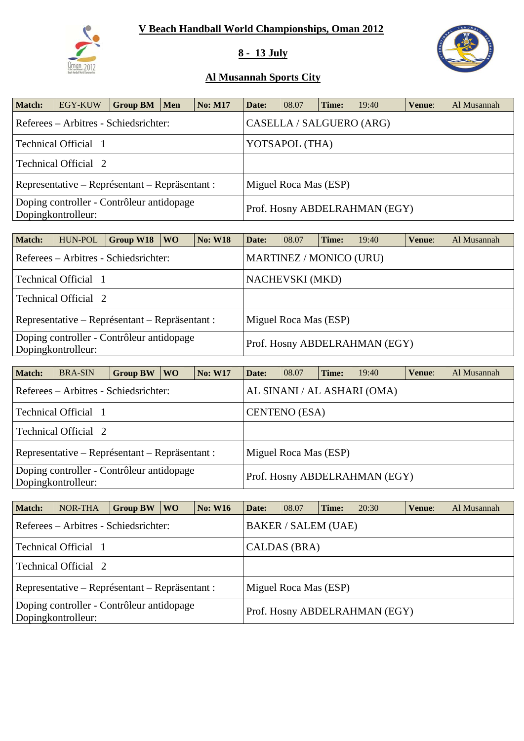

## **8 - 13 July**



| <b>Match:</b> | EGY-KUW                                                         | Group BM   Men | <b>No: M17</b> | Date: | 08.07                    | Time: | 19:40                         | Venue: | Al Musannah |
|---------------|-----------------------------------------------------------------|----------------|----------------|-------|--------------------------|-------|-------------------------------|--------|-------------|
|               | Referees – Arbitres - Schiedsrichter:                           |                |                |       | CASELLA / SALGUERO (ARG) |       |                               |        |             |
|               | Technical Official 1                                            |                |                |       | YOTSAPOL (THA)           |       |                               |        |             |
|               | <b>Technical Official</b> 2                                     |                |                |       |                          |       |                               |        |             |
|               | Representative – Représentant – Repräsentant :                  |                |                |       | Miguel Roca Mas (ESP)    |       |                               |        |             |
|               | Doping controller - Contrôleur antidopage<br>Dopingkontrolleur: |                |                |       |                          |       | Prof. Hosny ABDELRAHMAN (EGY) |        |             |

| <b>Match:</b> | HUN-POL              | Group W18                                      | <b>WO</b> | <b>No: W18</b> | Date: | 08.07                          | Time: | 19:40                         | Venue: | Al Musannah |
|---------------|----------------------|------------------------------------------------|-----------|----------------|-------|--------------------------------|-------|-------------------------------|--------|-------------|
|               |                      | Referees – Arbitres - Schiedsrichter:          |           |                |       | <b>MARTINEZ / MONICO (URU)</b> |       |                               |        |             |
|               | Technical Official 1 |                                                |           |                |       | <b>NACHEVSKI</b> (MKD)         |       |                               |        |             |
|               | Technical Official 2 |                                                |           |                |       |                                |       |                               |        |             |
|               |                      | Representative – Représentant – Repräsentant : |           |                |       | Miguel Roca Mas (ESP)          |       |                               |        |             |
|               | Dopingkontrolleur:   | Doping controller - Contrôleur antidopage      |           |                |       |                                |       | Prof. Hosny ABDELRAHMAN (EGY) |        |             |

| <b>Match:</b> | <b>BRA-SIN</b>                                                  | <b>Group BW</b> | <b>WO</b> | <b>No: W17</b> | Date:                         | 08.07                | Time: | 19:40 | Venue: | Al Musannah |  |  |
|---------------|-----------------------------------------------------------------|-----------------|-----------|----------------|-------------------------------|----------------------|-------|-------|--------|-------------|--|--|
|               | Referees – Arbitres - Schiedsrichter:                           |                 |           |                | AL SINANI / AL ASHARI (OMA)   |                      |       |       |        |             |  |  |
|               | Technical Official 1                                            |                 |           |                |                               | <b>CENTENO</b> (ESA) |       |       |        |             |  |  |
|               | Technical Official 2                                            |                 |           |                |                               |                      |       |       |        |             |  |  |
|               | Representative – Représentant – Repräsentant :                  |                 |           |                | Miguel Roca Mas (ESP)         |                      |       |       |        |             |  |  |
|               | Doping controller - Contrôleur antidopage<br>Dopingkontrolleur: |                 |           |                | Prof. Hosny ABDELRAHMAN (EGY) |                      |       |       |        |             |  |  |

| <b>Match:</b> | NOR-THA                                                         | <b>Group BW</b> | W <sub>O</sub> | <b>No: W16</b> | Date: | 08.07                      | Time: | 20:30                         | Venue: | Al Musannah |
|---------------|-----------------------------------------------------------------|-----------------|----------------|----------------|-------|----------------------------|-------|-------------------------------|--------|-------------|
|               | Referees – Arbitres - Schiedsrichter:                           |                 |                |                |       | <b>BAKER / SALEM (UAE)</b> |       |                               |        |             |
|               | Technical Official 1                                            |                 |                |                |       | CALDAS (BRA)               |       |                               |        |             |
|               | Technical Official 2                                            |                 |                |                |       |                            |       |                               |        |             |
|               | Representative – Représentant – Repräsentant :                  |                 |                |                |       | Miguel Roca Mas (ESP)      |       |                               |        |             |
|               | Doping controller - Contrôleur antidopage<br>Dopingkontrolleur: |                 |                |                |       |                            |       | Prof. Hosny ABDELRAHMAN (EGY) |        |             |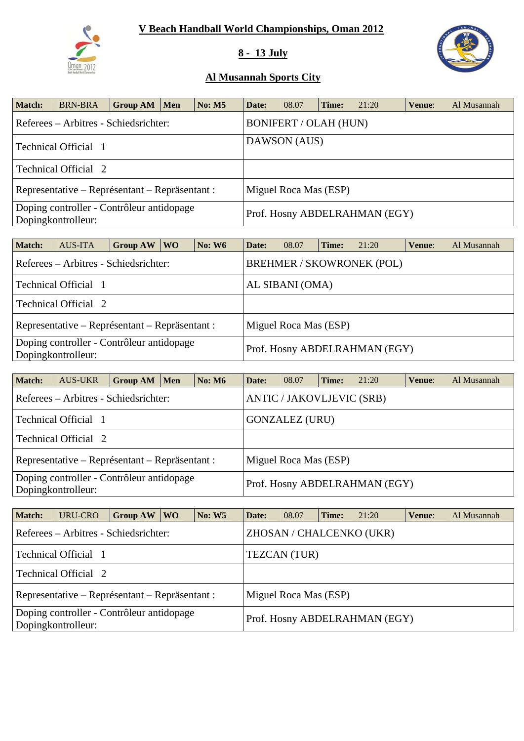

## **8 - 13 July**



| <b>Match:</b> | <b>BRN-BRA</b>                                                  | <b>Group AM</b> | Men | <b>No: M5</b> | Date: | 08.07                         | Time: | 21:20 | Venue: | Al Musannah |
|---------------|-----------------------------------------------------------------|-----------------|-----|---------------|-------|-------------------------------|-------|-------|--------|-------------|
|               | Referees – Arbitres - Schiedsrichter:                           |                 |     |               |       | <b>BONIFERT / OLAH (HUN)</b>  |       |       |        |             |
|               | Technical Official 1                                            |                 |     |               |       | DAWSON (AUS)                  |       |       |        |             |
|               | Technical Official 2                                            |                 |     |               |       |                               |       |       |        |             |
|               | Representative – Représentant – Repräsentant :                  |                 |     |               |       | Miguel Roca Mas (ESP)         |       |       |        |             |
|               | Doping controller - Contrôleur antidopage<br>Dopingkontrolleur: |                 |     |               |       | Prof. Hosny ABDELRAHMAN (EGY) |       |       |        |             |

| <b>Match:</b>                                                   | <b>AUS-ITA</b>                                 | <b>Group AW</b> | <b>WO</b> | <b>No: W6</b> | Date:                 | 08.07           | Time: | 21:20                            | Venue: | Al Musannah |  |  |
|-----------------------------------------------------------------|------------------------------------------------|-----------------|-----------|---------------|-----------------------|-----------------|-------|----------------------------------|--------|-------------|--|--|
|                                                                 | Referees – Arbitres - Schiedsrichter:          |                 |           |               |                       |                 |       | <b>BREHMER / SKOWRONEK (POL)</b> |        |             |  |  |
|                                                                 | Technical Official 1                           |                 |           |               |                       | AL SIBANI (OMA) |       |                                  |        |             |  |  |
|                                                                 | Technical Official 2                           |                 |           |               |                       |                 |       |                                  |        |             |  |  |
|                                                                 | Representative – Représentant – Repräsentant : |                 |           |               | Miguel Roca Mas (ESP) |                 |       |                                  |        |             |  |  |
| Doping controller - Contrôleur antidopage<br>Dopingkontrolleur: |                                                |                 |           |               |                       |                 |       | Prof. Hosny ABDELRAHMAN (EGY)    |        |             |  |  |

| <b>Match:</b>                                                   | <b>AUS-UKR</b>                                 | <b>Group AM</b> | Men | No: M6 | Date: | 08.07                            | Time: | 21:20                         | Venue: | Al Musannah |
|-----------------------------------------------------------------|------------------------------------------------|-----------------|-----|--------|-------|----------------------------------|-------|-------------------------------|--------|-------------|
|                                                                 | Referees – Arbitres - Schiedsrichter:          |                 |     |        |       | <b>ANTIC / JAKOVLJEVIC (SRB)</b> |       |                               |        |             |
|                                                                 | Technical Official 1                           |                 |     |        |       | <b>GONZALEZ (URU)</b>            |       |                               |        |             |
|                                                                 | Technical Official 2                           |                 |     |        |       |                                  |       |                               |        |             |
|                                                                 | Representative – Représentant – Repräsentant : |                 |     |        |       | Miguel Roca Mas (ESP)            |       |                               |        |             |
| Doping controller - Contrôleur antidopage<br>Dopingkontrolleur: |                                                |                 |     |        |       |                                  |       | Prof. Hosny ABDELRAHMAN (EGY) |        |             |

| Match: | URU-CRO                                                         | Group AW | WO. | <b>No: W5</b> | Date: | 08.07                 | Time: | 21:20                         | Venue: | Al Musannah |
|--------|-----------------------------------------------------------------|----------|-----|---------------|-------|-----------------------|-------|-------------------------------|--------|-------------|
|        | Referees – Arbitres - Schiedsrichter:                           |          |     |               |       |                       |       | ZHOSAN / CHALCENKO (UKR)      |        |             |
|        | Technical Official 1                                            |          |     |               |       | TEZCAN (TUR)          |       |                               |        |             |
|        | Technical Official 2                                            |          |     |               |       |                       |       |                               |        |             |
|        | Representative – Représentant – Repräsentant :                  |          |     |               |       | Miguel Roca Mas (ESP) |       |                               |        |             |
|        | Doping controller - Contrôleur antidopage<br>Dopingkontrolleur: |          |     |               |       |                       |       | Prof. Hosny ABDELRAHMAN (EGY) |        |             |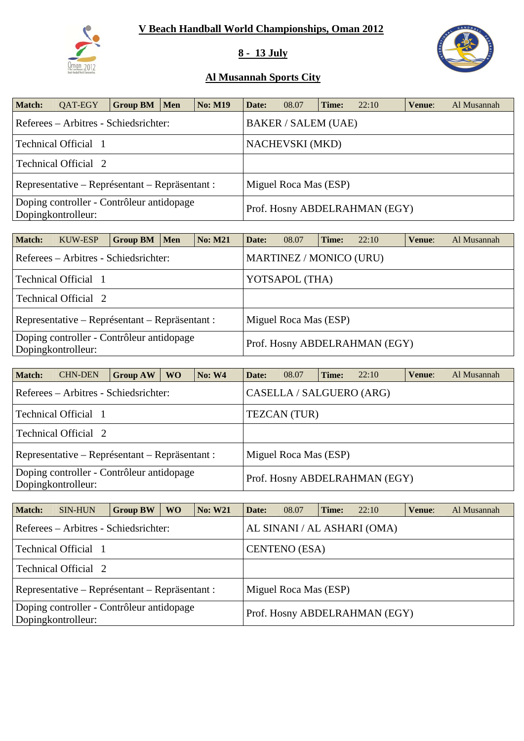

## **8 - 13 July**



| Match: | QAT-EGY                                                         | Group BM $\mid$ | Men | <b>No: M19</b> | Date: | 08.07                      | Time: | 22:10                         | Venue: | Al Musannah |  |
|--------|-----------------------------------------------------------------|-----------------|-----|----------------|-------|----------------------------|-------|-------------------------------|--------|-------------|--|
|        | Referees – Arbitres - Schiedsrichter:                           |                 |     |                |       | <b>BAKER / SALEM (UAE)</b> |       |                               |        |             |  |
|        | Technical Official 1                                            |                 |     |                |       | <b>NACHEVSKI</b> (MKD)     |       |                               |        |             |  |
|        | <b>Technical Official 2</b>                                     |                 |     |                |       |                            |       |                               |        |             |  |
|        | Representative – Représentant – Repräsentant :                  |                 |     |                |       | Miguel Roca Mas (ESP)      |       |                               |        |             |  |
|        | Doping controller - Contrôleur antidopage<br>Dopingkontrolleur: |                 |     |                |       |                            |       | Prof. Hosny ABDELRAHMAN (EGY) |        |             |  |

| <b>Match:</b> | KUW-ESP                                                         | <b>Group BM</b> | Men | <b>No: M21</b> | Date: | 08.07                          | Time: | 22:10 | Venue: | Al Musannah |
|---------------|-----------------------------------------------------------------|-----------------|-----|----------------|-------|--------------------------------|-------|-------|--------|-------------|
|               | Referees – Arbitres - Schiedsrichter:                           |                 |     |                |       | <b>MARTINEZ / MONICO (URU)</b> |       |       |        |             |
|               | Technical Official 1                                            |                 |     |                |       | YOTSAPOL (THA)                 |       |       |        |             |
|               | Technical Official 2                                            |                 |     |                |       |                                |       |       |        |             |
|               | Representative – Représentant – Repräsentant :                  |                 |     |                |       | Miguel Roca Mas (ESP)          |       |       |        |             |
|               | Doping controller - Contrôleur antidopage<br>Dopingkontrolleur: |                 |     |                |       | Prof. Hosny ABDELRAHMAN (EGY)  |       |       |        |             |

| <b>Match:</b> | <b>CHN-DEN</b>                                                  | <b>Group AW</b> | <b>WO</b> | <b>No: W4</b> | Date:                    | 08.07                 | Time: | 22:10                         | Venue: | Al Musannah |  |  |
|---------------|-----------------------------------------------------------------|-----------------|-----------|---------------|--------------------------|-----------------------|-------|-------------------------------|--------|-------------|--|--|
|               | Referees – Arbitres - Schiedsrichter:                           |                 |           |               | CASELLA / SALGUERO (ARG) |                       |       |                               |        |             |  |  |
|               | Technical Official 1                                            |                 |           |               |                          | <b>TEZCAN</b> (TUR)   |       |                               |        |             |  |  |
|               | Technical Official 2                                            |                 |           |               |                          |                       |       |                               |        |             |  |  |
|               | Representative – Représentant – Repräsentant :                  |                 |           |               |                          | Miguel Roca Mas (ESP) |       |                               |        |             |  |  |
|               | Doping controller - Contrôleur antidopage<br>Dopingkontrolleur: |                 |           |               |                          |                       |       | Prof. Hosny ABDELRAHMAN (EGY) |        |             |  |  |

| Match:                                                          | <b>SIN-HUN</b>                                 | <b>Group BW</b> | <b>WO</b>                   | <b>No: W21</b> | Date:                | 08.07                 | Time: | 22:10                         | Venue: | Al Musannah |  |
|-----------------------------------------------------------------|------------------------------------------------|-----------------|-----------------------------|----------------|----------------------|-----------------------|-------|-------------------------------|--------|-------------|--|
|                                                                 | Referees – Arbitres - Schiedsrichter:          |                 | AL SINANI / AL ASHARI (OMA) |                |                      |                       |       |                               |        |             |  |
|                                                                 | Technical Official 1                           |                 |                             |                | <b>CENTENO</b> (ESA) |                       |       |                               |        |             |  |
|                                                                 | Technical Official 2                           |                 |                             |                |                      |                       |       |                               |        |             |  |
|                                                                 | Representative – Représentant – Repräsentant : |                 |                             |                |                      | Miguel Roca Mas (ESP) |       |                               |        |             |  |
| Doping controller - Contrôleur antidopage<br>Dopingkontrolleur: |                                                |                 |                             |                |                      |                       |       | Prof. Hosny ABDELRAHMAN (EGY) |        |             |  |